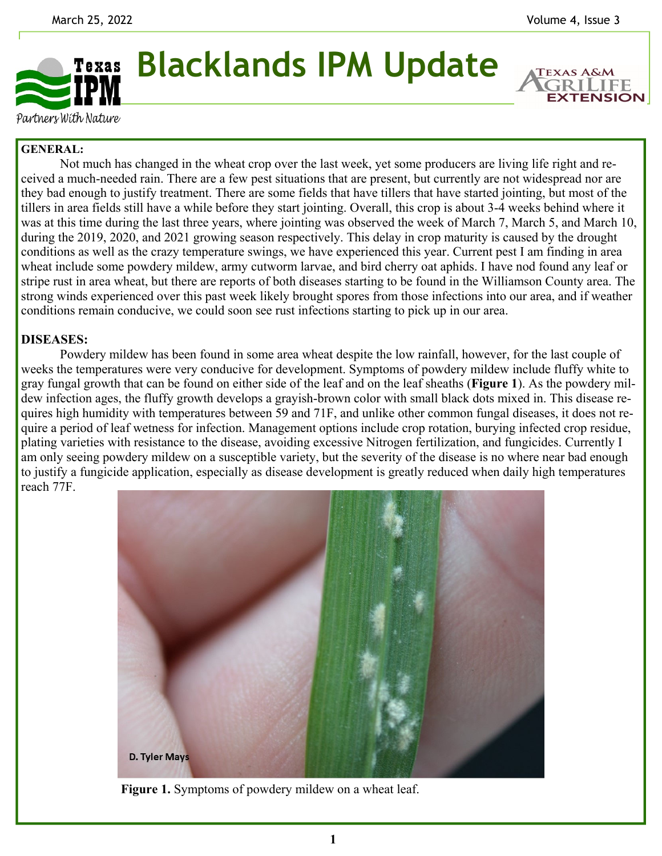**EXTENSION** 



Partners With Nature

## **GENERAL:**

 Not much has changed in the wheat crop over the last week, yet some producers are living life right and received a much-needed rain. There are a few pest situations that are present, but currently are not widespread nor are they bad enough to justify treatment. There are some fields that have tillers that have started jointing, but most of the tillers in area fields still have a while before they start jointing. Overall, this crop is about 3-4 weeks behind where it was at this time during the last three years, where jointing was observed the week of March 7, March 5, and March 10, during the 2019, 2020, and 2021 growing season respectively. This delay in crop maturity is caused by the drought conditions as well as the crazy temperature swings, we have experienced this year. Current pest I am finding in area wheat include some powdery mildew, army cutworm larvae, and bird cherry oat aphids. I have nod found any leaf or stripe rust in area wheat, but there are reports of both diseases starting to be found in the Williamson County area. The strong winds experienced over this past week likely brought spores from those infections into our area, and if weather conditions remain conducive, we could soon see rust infections starting to pick up in our area.

## **DISEASES:**

Powdery mildew has been found in some area wheat despite the low rainfall, however, for the last couple of weeks the temperatures were very conducive for development. Symptoms of powdery mildew include fluffy white to gray fungal growth that can be found on either side of the leaf and on the leaf sheaths (**Figure 1**). As the powdery mildew infection ages, the fluffy growth develops a grayish-brown color with small black dots mixed in. This disease requires high humidity with temperatures between 59 and 71F, and unlike other common fungal diseases, it does not require a period of leaf wetness for infection. Management options include crop rotation, burying infected crop residue, plating varieties with resistance to the disease, avoiding excessive Nitrogen fertilization, and fungicides. Currently I am only seeing powdery mildew on a susceptible variety, but the severity of the disease is no where near bad enough to justify a fungicide application, especially as disease development is greatly reduced when daily high temperatures reach 77F.



**Figure 1.** Symptoms of powdery mildew on a wheat leaf.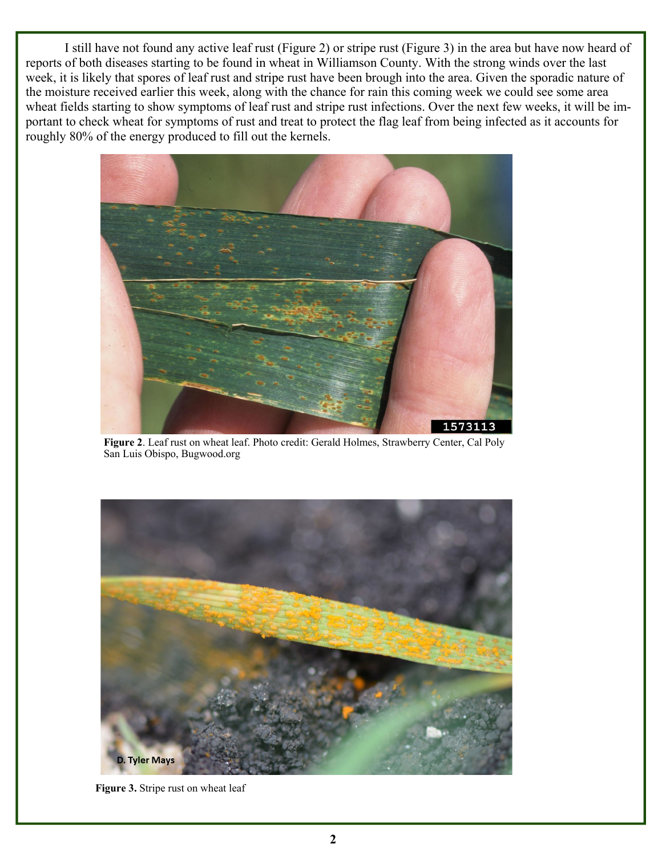I still have not found any active leaf rust (Figure 2) or stripe rust (Figure 3) in the area but have now heard of reports of both diseases starting to be found in wheat in Williamson County. With the strong winds over the last week, it is likely that spores of leaf rust and stripe rust have been brough into the area. Given the sporadic nature of the moisture received earlier this week, along with the chance for rain this coming week we could see some area wheat fields starting to show symptoms of leaf rust and stripe rust infections. Over the next few weeks, it will be important to check wheat for symptoms of rust and treat to protect the flag leaf from being infected as it accounts for roughly 80% of the energy produced to fill out the kernels.



**Figure 2**. Leaf rust on wheat leaf. Photo credit: Gerald Holmes, Strawberry Center, Cal Poly San Luis Obispo, Bugwood.org



**Figure 3.** Stripe rust on wheat leaf